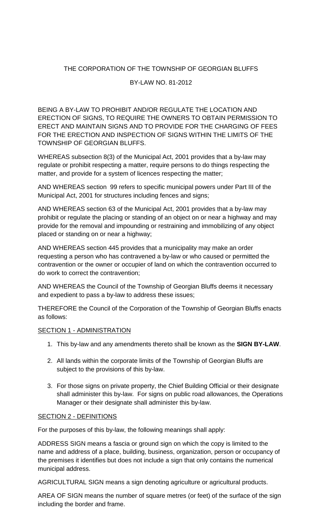# THE CORPORATION OF THE TOWNSHIP OF GEORGIAN BLUFFS

## BY-LAW NO. 81-2012

BEING A BY-LAW TO PROHIBIT AND/OR REGULATE THE LOCATION AND ERECTION OF SIGNS, TO REQUIRE THE OWNERS TO OBTAIN PERMISSION TO ERECT AND MAINTAIN SIGNS AND TO PROVIDE FOR THE CHARGING OF FEES FOR THE ERECTION AND INSPECTION OF SIGNS WITHIN THE LIMITS OF THE TOWNSHIP OF GEORGIAN BLUFFS.

WHEREAS subsection 8(3) of the Municipal Act, 2001 provides that a by-law may regulate or prohibit respecting a matter, require persons to do things respecting the matter, and provide for a system of licences respecting the matter;

AND WHEREAS section 99 refers to specific municipal powers under Part III of the Municipal Act, 2001 for structures including fences and signs;

AND WHEREAS section 63 of the Municipal Act, 2001 provides that a by-law may prohibit or regulate the placing or standing of an object on or near a highway and may provide for the removal and impounding or restraining and immobilizing of any object placed or standing on or near a highway;

AND WHEREAS section 445 provides that a municipality may make an order requesting a person who has contravened a by-law or who caused or permitted the contravention or the owner or occupier of land on which the contravention occurred to do work to correct the contravention;

AND WHEREAS the Council of the Township of Georgian Bluffs deems it necessary and expedient to pass a by-law to address these issues;

THEREFORE the Council of the Corporation of the Township of Georgian Bluffs enacts as follows:

## SECTION 1 - ADMINISTRATION

- 1. This by-law and any amendments thereto shall be known as the **SIGN BY-LAW**.
- 2. All lands within the corporate limits of the Township of Georgian Bluffs are subject to the provisions of this by-law.
- 3. For those signs on private property, the Chief Building Official or their designate shall administer this by-law. For signs on public road allowances, the Operations Manager or their designate shall administer this by-law.

## SECTION 2 - DEFINITIONS

For the purposes of this by-law, the following meanings shall apply:

ADDRESS SIGN means a fascia or ground sign on which the copy is limited to the name and address of a place, building, business, organization, person or occupancy of the premises it identifies but does not include a sign that only contains the numerical municipal address.

AGRICULTURAL SIGN means a sign denoting agriculture or agricultural products.

AREA OF SIGN means the number of square metres (or feet) of the surface of the sign including the border and frame.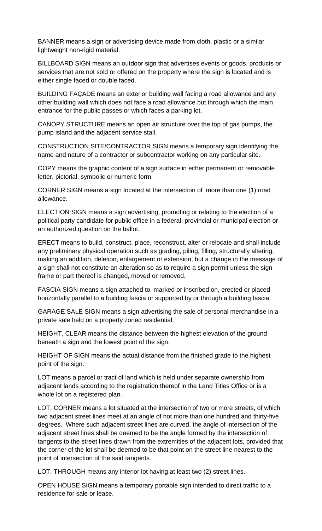BANNER means a sign or advertising device made from cloth, plastic or a similar lightweight non-rigid material.

BILLBOARD SIGN means an outdoor sign that advertises events or goods, products or services that are not sold or offered on the property where the sign is located and is either single faced or double faced.

BUILDING FAÇADE means an exterior building wall facing a road allowance and any other building wall which does not face a road allowance but through which the main entrance for the public passes or which faces a parking lot.

CANOPY STRUCTURE means an open air structure over the top of gas pumps, the pump island and the adjacent service stall.

CONSTRUCTION SITE/CONTRACTOR SIGN means a temporary sign identifying the name and nature of a contractor or subcontractor working on any particular site.

COPY means the graphic content of a sign surface in either permanent or removable letter, pictorial, symbolic or numeric form.

CORNER SIGN means a sign located at the intersection of more than one (1) road allowance.

ELECTION SIGN means a sign advertising, promoting or relating to the election of a political party candidate for public office in a federal, provincial or municipal election or an authorized question on the ballot.

ERECT means to build, construct, place, reconstruct, alter or relocate and shall include any preliminary physical operation such as grading, piling, filling, structurally altering, making an addition, deletion, enlargement or extension, but a change in the message of a sign shall not constitute an alteration so as to require a sign permit unless the sign frame or part thereof is changed, moved or removed.

FASCIA SIGN means a sign attached to, marked or inscribed on, erected or placed horizontally parallel to a building fascia or supported by or through a building fascia.

GARAGE SALE SIGN means a sign advertising the sale of personal merchandise in a private sale held on a property zoned residential.

HEIGHT, CLEAR means the distance between the highest elevation of the ground beneath a sign and the lowest point of the sign.

HEIGHT OF SIGN means the actual distance from the finished grade to the highest point of the sign.

LOT means a parcel or tract of land which is held under separate ownership from adjacent lands according to the registration thereof in the Land Titles Office or is a whole lot on a registered plan.

LOT, CORNER means a lot situated at the intersection of two or more streets, of which two adjacent street lines meet at an angle of not more than one hundred and thirty-five degrees. Where such adjacent street lines are curved, the angle of intersection of the adjacent street lines shall be deemed to be the angle formed by the intersection of tangents to the street lines drawn from the extremities of the adjacent lots, provided that the corner of the lot shall be deemed to be that point on the street line nearest to the point of intersection of the said tangents.

LOT, THROUGH means any interior lot having at least two (2) street lines.

OPEN HOUSE SIGN means a temporary portable sign intended to direct traffic to a residence for sale or lease.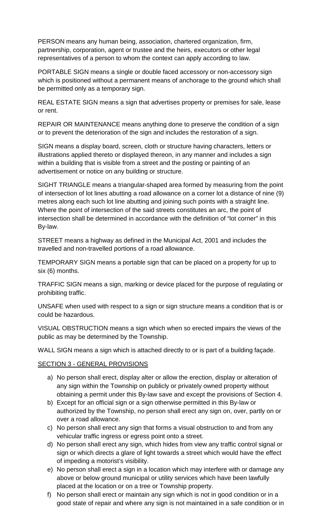PERSON means any human being, association, chartered organization, firm, partnership, corporation, agent or trustee and the heirs, executors or other legal representatives of a person to whom the context can apply according to law.

PORTABLE SIGN means a single or double faced accessory or non-accessory sign which is positioned without a permanent means of anchorage to the ground which shall be permitted only as a temporary sign.

REAL ESTATE SIGN means a sign that advertises property or premises for sale, lease or rent.

REPAIR OR MAINTENANCE means anything done to preserve the condition of a sign or to prevent the deterioration of the sign and includes the restoration of a sign.

SIGN means a display board, screen, cloth or structure having characters, letters or illustrations applied thereto or displayed thereon, in any manner and includes a sign within a building that is visible from a street and the posting or painting of an advertisement or notice on any building or structure.

SIGHT TRIANGLE means a triangular-shaped area formed by measuring from the point of intersection of lot lines abutting a road allowance on a corner lot a distance of nine (9) metres along each such lot line abutting and joining such points with a straight line. Where the point of intersection of the said streets constitutes an arc, the point of intersection shall be determined in accordance with the definition of "lot corner" in this By-law.

STREET means a highway as defined in the Municipal Act, 2001 and includes the travelled and non-travelled portions of a road allowance.

TEMPORARY SIGN means a portable sign that can be placed on a property for up to six (6) months.

TRAFFIC SIGN means a sign, marking or device placed for the purpose of regulating or prohibiting traffic.

UNSAFE when used with respect to a sign or sign structure means a condition that is or could be hazardous.

VISUAL OBSTRUCTION means a sign which when so erected impairs the views of the public as may be determined by the Township.

WALL SIGN means a sign which is attached directly to or is part of a building façade.

## SECTION 3 - GENERAL PROVISIONS

- a) No person shall erect, display alter or allow the erection, display or alteration of any sign within the Township on publicly or privately owned property without obtaining a permit under this By-law save and except the provisions of Section 4.
- b) Except for an official sign or a sign otherwise permitted in this By-law or authorized by the Township, no person shall erect any sign on, over, partly on or over a road allowance.
- c) No person shall erect any sign that forms a visual obstruction to and from any vehicular traffic ingress or egress point onto a street.
- d) No person shall erect any sign, which hides from view any traffic control signal or sign or which directs a glare of light towards a street which would have the effect of impeding a motorist's visibility.
- e) No person shall erect a sign in a location which may interfere with or damage any above or below ground municipal or utility services which have been lawfully placed at the location or on a tree or Township property.
- f) No person shall erect or maintain any sign which is not in good condition or in a good state of repair and where any sign is not maintained in a safe condition or in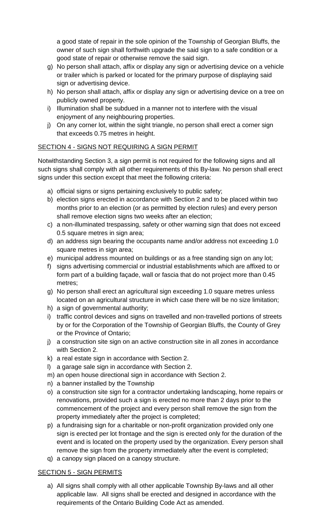a good state of repair in the sole opinion of the Township of Georgian Bluffs, the owner of such sign shall forthwith upgrade the said sign to a safe condition or a good state of repair or otherwise remove the said sign.

- g) No person shall attach, affix or display any sign or advertising device on a vehicle or trailer which is parked or located for the primary purpose of displaying said sign or advertising device.
- h) No person shall attach, affix or display any sign or advertising device on a tree on publicly owned property.
- i) Illumination shall be subdued in a manner not to interfere with the visual enjoyment of any neighbouring properties.
- j) On any corner lot, within the sight triangle, no person shall erect a corner sign that exceeds 0.75 metres in height.

# SECTION 4 - SIGNS NOT REQUIRING A SIGN PERMIT

Notwithstanding Section 3, a sign permit is not required for the following signs and all such signs shall comply with all other requirements of this By-law. No person shall erect signs under this section except that meet the following criteria:

- a) official signs or signs pertaining exclusively to public safety;
- b) election signs erected in accordance with Section 2 and to be placed within two months prior to an election (or as permitted by election rules) and every person shall remove election signs two weeks after an election;
- c) a non-illuminated trespassing, safety or other warning sign that does not exceed 0.5 square metres in sign area;
- d) an address sign bearing the occupants name and/or address not exceeding 1.0 square metres in sign area;
- e) municipal address mounted on buildings or as a free standing sign on any lot;
- f) signs advertising commercial or industrial establishments which are affixed to or form part of a building façade, wall or fascia that do not project more than 0.45 metres;
- g) No person shall erect an agricultural sign exceeding 1.0 square metres unless located on an agricultural structure in which case there will be no size limitation;
- h) a sign of governmental authority;
- i) traffic control devices and signs on travelled and non-travelled portions of streets by or for the Corporation of the Township of Georgian Bluffs, the County of Grey or the Province of Ontario;
- j) a construction site sign on an active construction site in all zones in accordance with Section 2.
- k) a real estate sign in accordance with Section 2.
- l) a garage sale sign in accordance with Section 2.
- m) an open house directional sign in accordance with Section 2.
- n) a banner installed by the Township
- o) a construction site sign for a contractor undertaking landscaping, home repairs or renovations, provided such a sign is erected no more than 2 days prior to the commencement of the project and every person shall remove the sign from the property immediately after the project is completed;
- p) a fundraising sign for a charitable or non-profit organization provided only one sign is erected per lot frontage and the sign is erected only for the duration of the event and is located on the property used by the organization. Every person shall remove the sign from the property immediately after the event is completed;
- q) a canopy sign placed on a canopy structure.

## SECTION 5 - SIGN PERMITS

a) All signs shall comply with all other applicable Township By-laws and all other applicable law. All signs shall be erected and designed in accordance with the requirements of the Ontario Building Code Act as amended.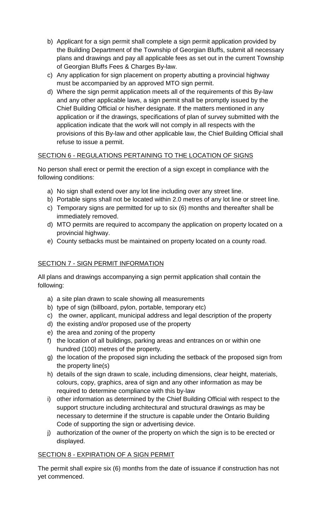- b) Applicant for a sign permit shall complete a sign permit application provided by the Building Department of the Township of Georgian Bluffs, submit all necessary plans and drawings and pay all applicable fees as set out in the current Township of Georgian Bluffs Fees & Charges By-law.
- c) Any application for sign placement on property abutting a provincial highway must be accompanied by an approved MTO sign permit.
- d) Where the sign permit application meets all of the requirements of this By-law and any other applicable laws, a sign permit shall be promptly issued by the Chief Building Official or his/her designate. If the matters mentioned in any application or if the drawings, specifications of plan of survey submitted with the application indicate that the work will not comply in all respects with the provisions of this By-law and other applicable law, the Chief Building Official shall refuse to issue a permit.

# SECTION 6 - REGULATIONS PERTAINING TO THE LOCATION OF SIGNS

No person shall erect or permit the erection of a sign except in compliance with the following conditions:

- a) No sign shall extend over any lot line including over any street line.
- b) Portable signs shall not be located within 2.0 metres of any lot line or street line.
- c) Temporary signs are permitted for up to six (6) months and thereafter shall be immediately removed.
- d) MTO permits are required to accompany the application on property located on a provincial highway.
- e) County setbacks must be maintained on property located on a county road.

# SECTION 7 - SIGN PERMIT INFORMATION

All plans and drawings accompanying a sign permit application shall contain the following:

- a) a site plan drawn to scale showing all measurements
- b) type of sign (billboard, pylon, portable, temporary etc)
- c) the owner, applicant, municipal address and legal description of the property
- d) the existing and/or proposed use of the property
- e) the area and zoning of the property
- f) the location of all buildings, parking areas and entrances on or within one hundred (100) metres of the property.
- g) the location of the proposed sign including the setback of the proposed sign from the property line(s)
- h) details of the sign drawn to scale, including dimensions, clear height, materials, colours, copy, graphics, area of sign and any other information as may be required to determine compliance with this by-law
- i) other information as determined by the Chief Building Official with respect to the support structure including architectural and structural drawings as may be necessary to determine if the structure is capable under the Ontario Building Code of supporting the sign or advertising device.
- j) authorization of the owner of the property on which the sign is to be erected or displayed.

## SECTION 8 - EXPIRATION OF A SIGN PERMIT

The permit shall expire six (6) months from the date of issuance if construction has not yet commenced.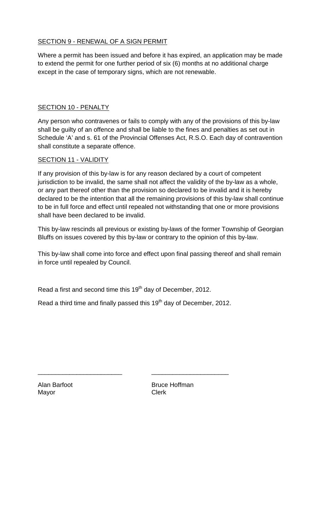## SECTION 9 - RENEWAL OF A SIGN PERMIT

Where a permit has been issued and before it has expired, an application may be made to extend the permit for one further period of six (6) months at no additional charge except in the case of temporary signs, which are not renewable.

## SECTION 10 - PENALTY

Any person who contravenes or fails to comply with any of the provisions of this by-law shall be guilty of an offence and shall be liable to the fines and penalties as set out in Schedule 'A' and s. 61 of the Provincial Offenses Act, R.S.O. Each day of contravention shall constitute a separate offence.

## SECTION 11 - VALIDITY

If any provision of this by-law is for any reason declared by a court of competent jurisdiction to be invalid, the same shall not affect the validity of the by-law as a whole, or any part thereof other than the provision so declared to be invalid and it is hereby declared to be the intention that all the remaining provisions of this by-law shall continue to be in full force and effect until repealed not withstanding that one or more provisions shall have been declared to be invalid.

This by-law rescinds all previous or existing by-laws of the former Township of Georgian Bluffs on issues covered by this by-law or contrary to the opinion of this by-law.

This by-law shall come into force and effect upon final passing thereof and shall remain in force until repealed by Council.

Read a first and second time this 19<sup>th</sup> day of December, 2012.

Read a third time and finally passed this 19<sup>th</sup> day of December, 2012.

\_\_\_\_\_\_\_\_\_\_\_\_\_\_\_\_\_\_\_\_\_\_\_\_ \_\_\_\_\_\_\_\_\_\_\_\_\_\_\_\_\_\_\_\_\_\_

Mayor **Clerk** 

Alan Barfoot **Bruce Hoffman**